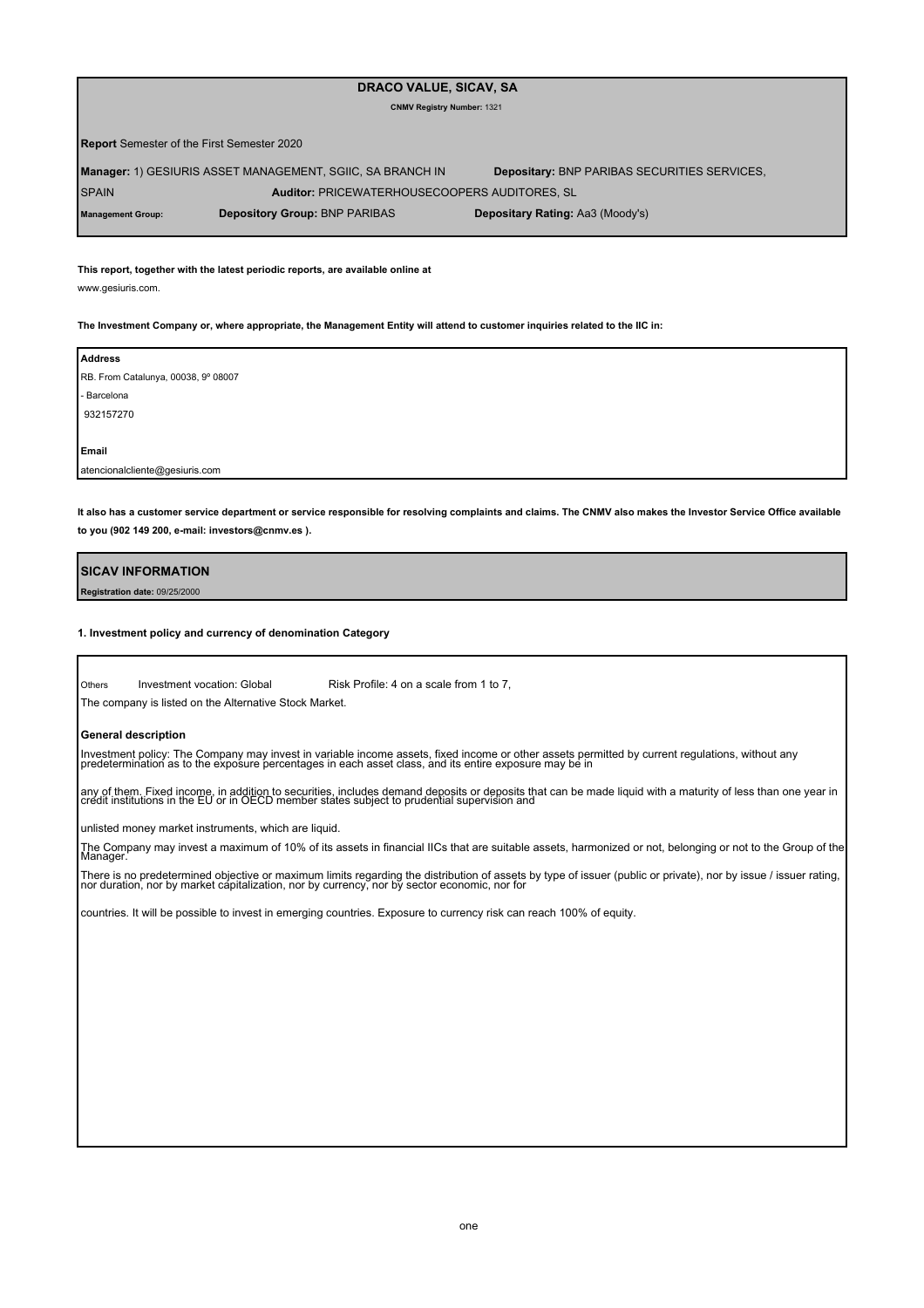# **DRACO VALUE, SICAV, SA**

#### **CNMV Registry Number:** 1321

**Report** Semester of the First Semester 2020

**Manager:** 1) GESIURIS ASSET MANAGEMENT, SGIIC, SA BRANCH IN SPAIN **Auditor:** PRICEWATERHOUSECOOPERS AUDITORES, SL **Depositary:** BNP PARIBAS SECURITIES SERVICES,

**Management Group: Depository Group:** BNP PARIBAS **Depositary Rating:** Aa3 (Moody's)

**This report, together with the latest periodic reports, are available online at**

www.gesiuris.com.

**The Investment Company or, where appropriate, the Management Entity will attend to customer inquiries related to the IIC in:**

| <b>Address</b>                      |  |  |
|-------------------------------------|--|--|
| RB. From Catalunya, 00038, 9º 08007 |  |  |
| - Barcelona                         |  |  |
| 932157270                           |  |  |
|                                     |  |  |
| Email                               |  |  |
| atencionalcliente@gesiuris.com      |  |  |

**It also has a customer service department or service responsible for resolving complaints and claims. The CNMV also makes the Investor Service Office available to you (902 149 200, e-mail: investors@cnmv.es ).**

**SICAV INFORMATION Registration date:** 09/25/2000

#### **1. Investment policy and currency of denomination Category**

**Others** The company is listed on the Alternative Stock Market. Investment vocation: Global Risk Profile: 4 on a scale from 1 to 7,

**General description**

Investment policy: The Company may invest in variable income assets, fixed income or other assets permitted by current regulations, without any<br>predetermination as to the exposure percentages in each asset class, and its e

any of them. Fixed income, in addition to securities, includes demand deposits or deposits that can be made liquid with a maturity of less than one year in<br>credit institutions in the EU or in OECD member states subject to

unlisted money market instruments, which are liquid.

The Company may invest a maximum of 10% of its assets in financial IICs that are suitable assets, harmonized or not, belonging or not to the Group of the Manager.

There is no predetermined objective or maximum limits regarding the distribution of assets by type of issuer (public or private), nor by issue / issuer rating,<br>nor duration, nor by market capitalization, nor by currency, n

countries. It will be possible to invest in emerging countries. Exposure to currency risk can reach 100% of equity.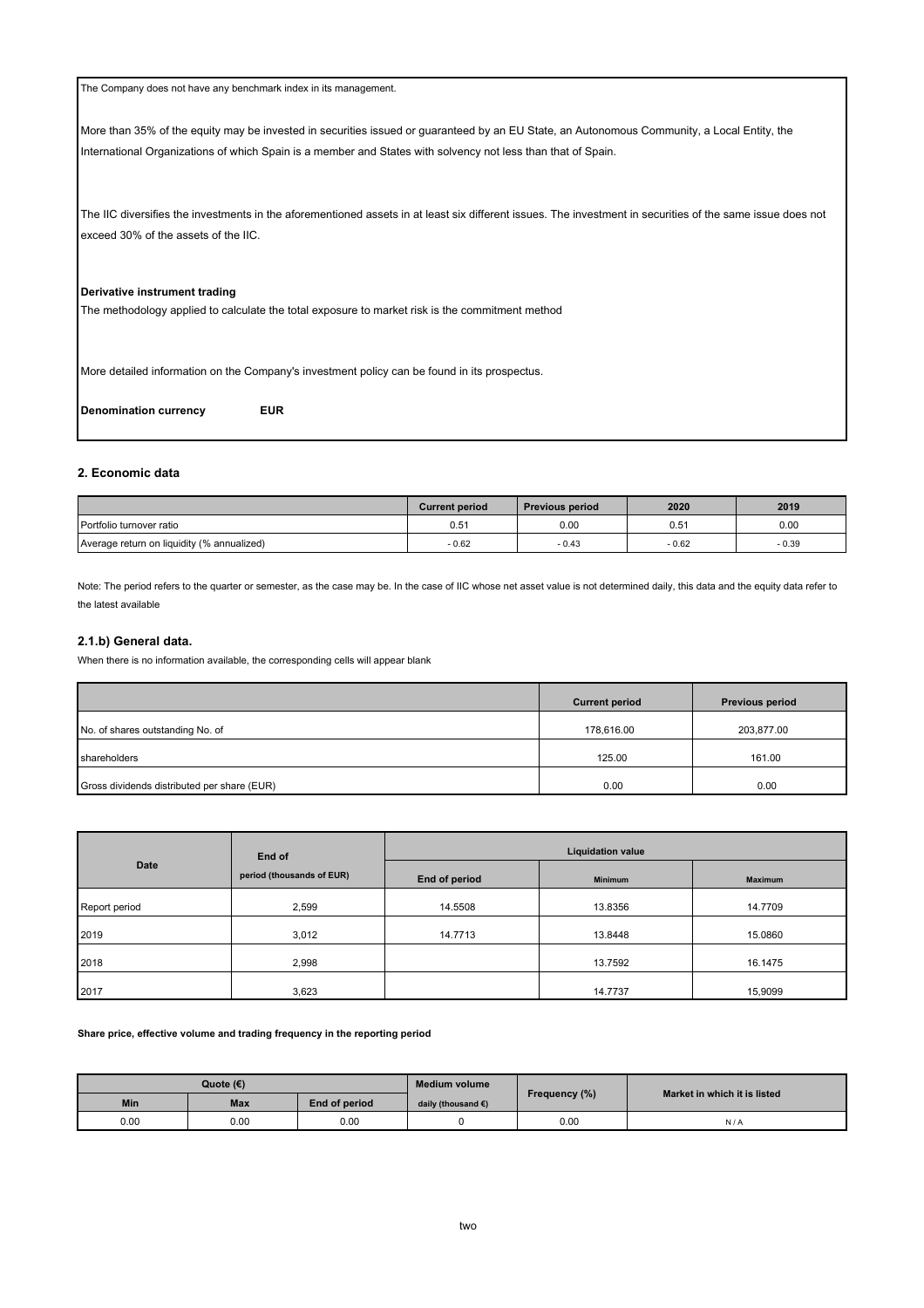| The Company does not have any benchmark index in its management.                                                                                                                                                                                            |
|-------------------------------------------------------------------------------------------------------------------------------------------------------------------------------------------------------------------------------------------------------------|
| More than 35% of the equity may be invested in securities issued or guaranteed by an EU State, an Autonomous Community, a Local Entity, the<br>International Organizations of which Spain is a member and States with solvency not less than that of Spain. |
| The IIC diversifies the investments in the aforementioned assets in at least six different issues. The investment in securities of the same issue does not<br>exceed 30% of the assets of the IIC.                                                          |
| Derivative instrument trading<br>The methodology applied to calculate the total exposure to market risk is the commitment method                                                                                                                            |
| More detailed information on the Company's investment policy can be found in its prospectus.                                                                                                                                                                |

**Denomination currency EUR**

# **2. Economic data**

|                                            | <b>Current period</b> | <b>Previous period</b> | 2020          | 2019    |
|--------------------------------------------|-----------------------|------------------------|---------------|---------|
| Portfolio turnover ratio                   | $0.5^{\circ}$         | 0.00                   | $0.5^{\circ}$ | 0.00    |
| Average return on liquidity (% annualized) | $-0.62$               | $-0.43$                | $-0.62$       | $-0.39$ |

Note: The period refers to the quarter or semester, as the case may be. In the case of IIC whose net asset value is not determined daily, this data and the equity data refer to the latest available

### **2.1.b) General data.**

When there is no information available, the corresponding cells will appear blank

|                                             | <b>Current period</b> | <b>Previous period</b> |
|---------------------------------------------|-----------------------|------------------------|
| No. of shares outstanding No. of            | 178.616.00            | 203.877.00             |
| shareholders                                | 125.00                | 161.00                 |
| Gross dividends distributed per share (EUR) | 0.00                  | 0.00                   |

|               | End of                    | <b>Liquidation value</b> |                |                |  |  |
|---------------|---------------------------|--------------------------|----------------|----------------|--|--|
| <b>Date</b>   | period (thousands of EUR) | End of period            | <b>Minimum</b> | <b>Maximum</b> |  |  |
| Report period | 2,599                     | 14.5508                  | 13.8356        | 14.7709        |  |  |
| 2019          | 3,012                     | 14.7713                  | 13.8448        | 15.0860        |  |  |
| 2018          | 2,998                     |                          | 13.7592        | 16.1475        |  |  |
| 2017          | 3,623                     |                          | 14.7737        | 15,9099        |  |  |

### **Share price, effective volume and trading frequency in the reporting period**

| Quote (€)  |            | <b>Medium volume</b> |                              |               |                              |
|------------|------------|----------------------|------------------------------|---------------|------------------------------|
| <b>Min</b> | <b>Max</b> | End of period        | daily (thousand $\epsilon$ ) | Frequency (%) | Market in which it is listed |
| 0.00       | 0.00       | 0.00                 |                              | 0.00          | N/A                          |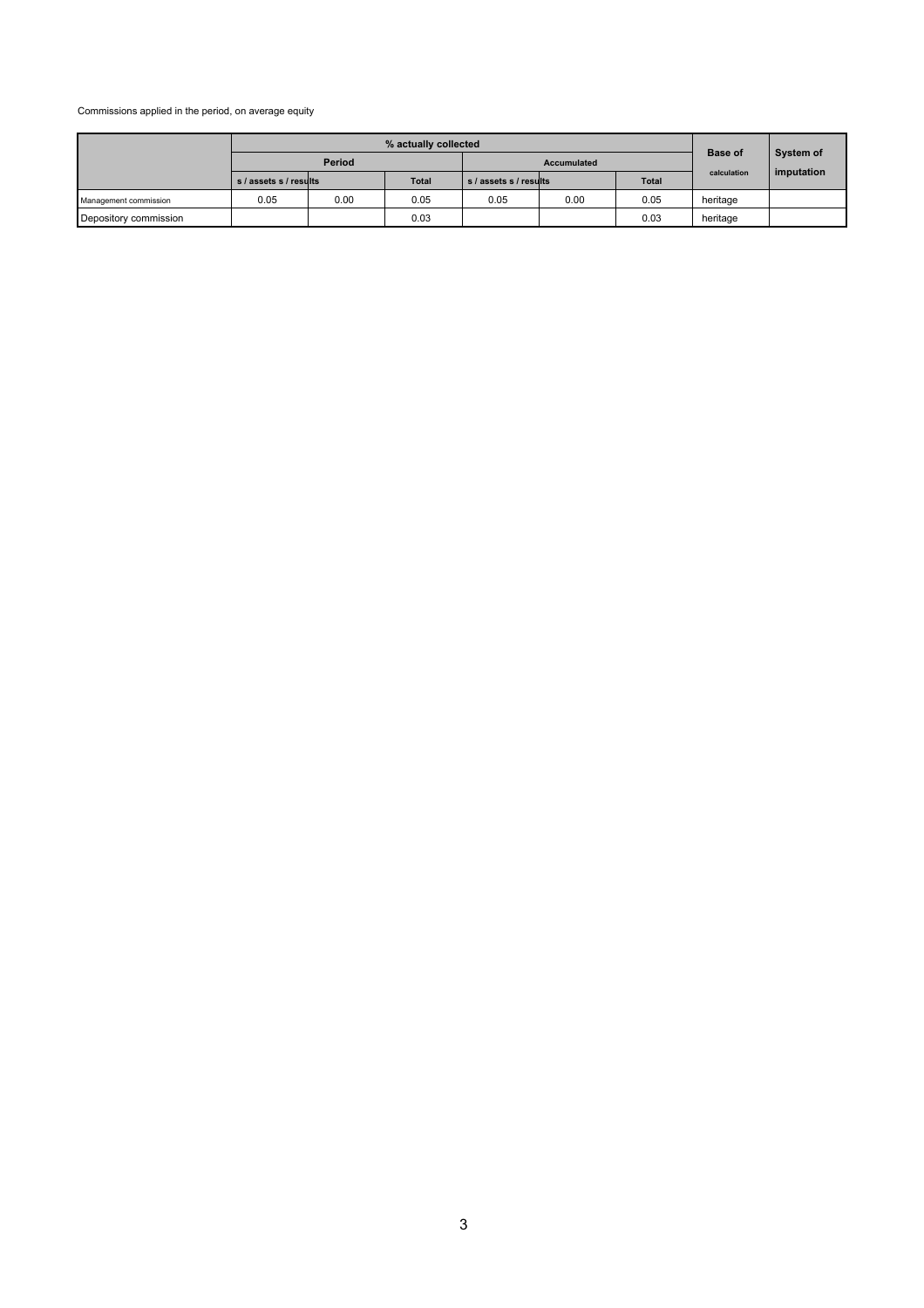Commissions applied in the period, on average equity

|                       | % actually collected   |      |       |                        |      |              |                |            |
|-----------------------|------------------------|------|-------|------------------------|------|--------------|----------------|------------|
|                       | Period                 |      |       | Accumulated            |      |              | <b>Base of</b> | System of  |
|                       | s / assets s / results |      | Total | s / assets s / results |      | <b>Total</b> | calculation    | imputation |
| Management commission | 0.05                   | 0.00 | 0.05  | 0.05                   | 0.00 | 0.05         | heritage       |            |
| Depository commission |                        |      | 0.03  |                        |      | 0.03         | heritage       |            |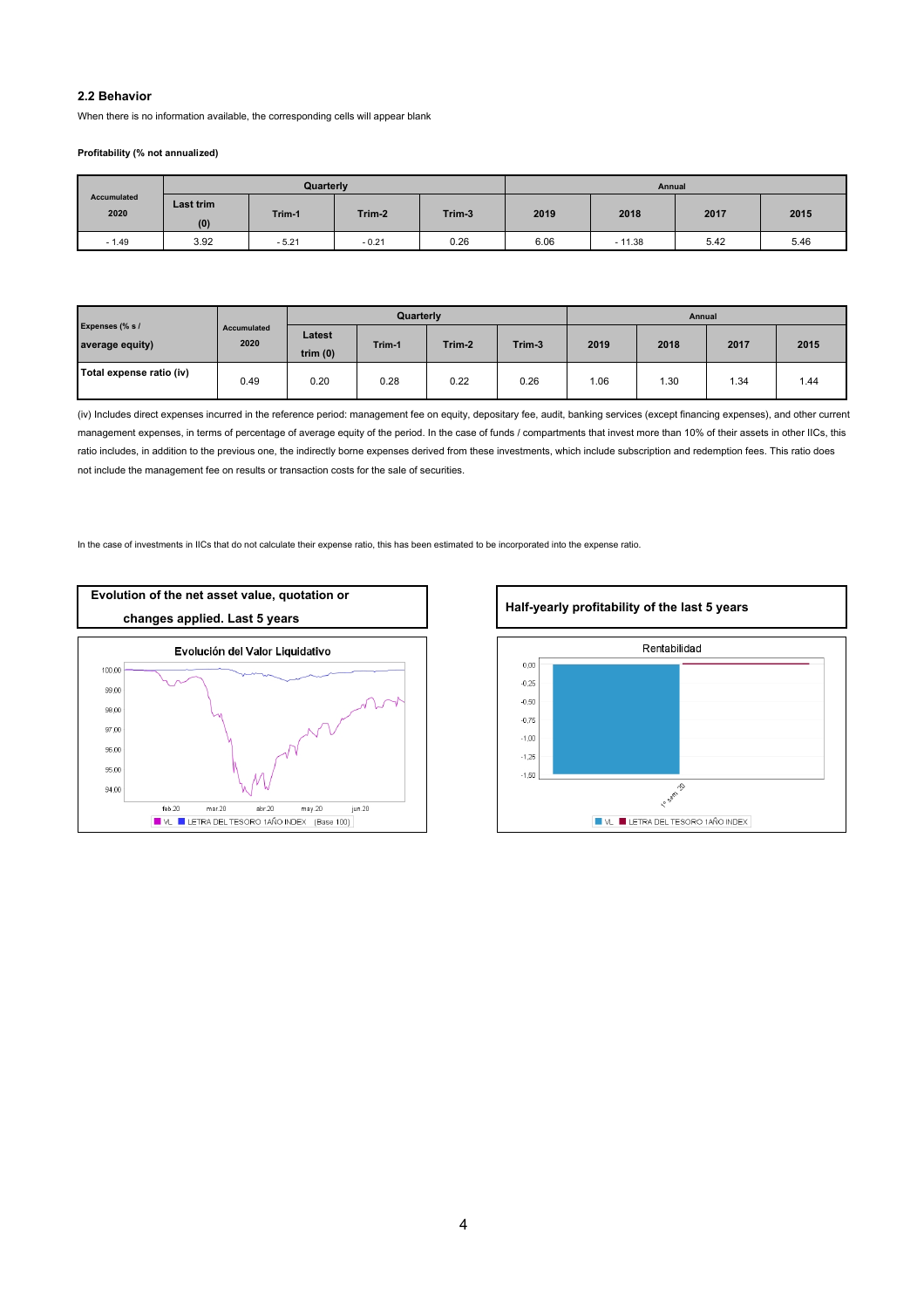# **2.2 Behavior**

When there is no information available, the corresponding cells will appear blank

### **Profitability (% not annualized)**

|                     | Quarterly        |         |         |        | Annual |          |      |      |
|---------------------|------------------|---------|---------|--------|--------|----------|------|------|
| Accumulated<br>2020 | Last trim<br>(0) | Trim-1  | Trim-2  | Trim-3 | 2019   | 2018     | 2017 | 2015 |
| $-1.49$             | 3.92             | $-5.21$ | $-0.21$ | 0.26   | 6.06   | $-11.38$ | 5.42 | 5.46 |

|                                    | Quarterly           |                      |        |        | Annual |      |      |      |      |
|------------------------------------|---------------------|----------------------|--------|--------|--------|------|------|------|------|
| Expenses (% s /<br>average equity) | Accumulated<br>2020 | Latest<br>trim $(0)$ | Trim-1 | Trim-2 | Trim-3 | 2019 | 2018 | 2017 | 2015 |
| Total expense ratio (iv)           | 0.49                | 0.20                 | 0.28   | 0.22   | 0.26   | 1.06 | 1.30 | .34  | 1.44 |

(iv) Includes direct expenses incurred in the reference period: management fee on equity, depositary fee, audit, banking services (except financing expenses), and other current management expenses, in terms of percentage of average equity of the period. In the case of funds / compartments that invest more than 10% of their assets in other IICs, this ratio includes, in addition to the previous one, the indirectly borne expenses derived from these investments, which include subscription and redemption fees. This ratio does not include the management fee on results or transaction costs for the sale of securities.

In the case of investments in IICs that do not calculate their expense ratio, this has been estimated to be incorporated into the expense ratio.



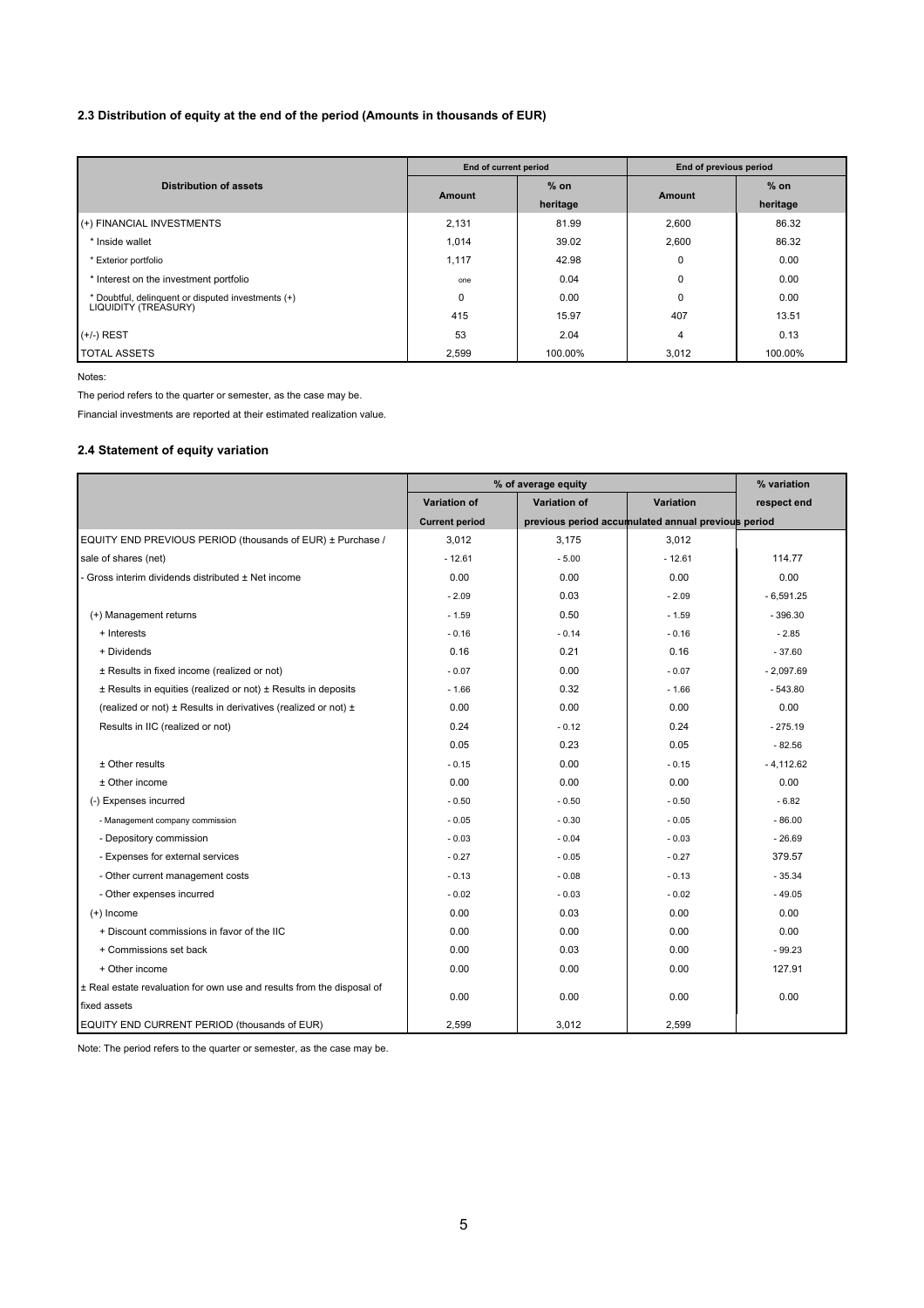# **2.3 Distribution of equity at the end of the period (Amounts in thousands of EUR)**

|                                                    | End of current period |          | End of previous period |          |
|----------------------------------------------------|-----------------------|----------|------------------------|----------|
| <b>Distribution of assets</b>                      |                       | $%$ on   |                        | $%$ on   |
|                                                    | Amount                | heritage | <b>Amount</b>          | heritage |
| (+) FINANCIAL INVESTMENTS                          | 2,131                 | 81.99    | 2,600                  | 86.32    |
| * Inside wallet                                    | 1,014                 | 39.02    | 2,600                  | 86.32    |
| * Exterior portfolio                               | 1,117                 | 42.98    | $\mathbf 0$            | 0.00     |
| * Interest on the investment portfolio             | one                   | 0.04     | $\mathbf 0$            | 0.00     |
| * Doubtful, delinguent or disputed investments (+) | 0                     | 0.00     | $\mathbf 0$            | 0.00     |
| LIQUIDITY (TREASURY)                               | 415                   | 15.97    | 407                    | 13.51    |
| $(+/-)$ REST                                       | 53                    | 2.04     | 4                      | 0.13     |
| <b>TOTAL ASSETS</b>                                | 2,599                 | 100.00%  | 3.012                  | 100.00%  |

Notes:

The period refers to the quarter or semester, as the case may be.

Financial investments are reported at their estimated realization value.

# **2.4 Statement of equity variation**

|                                                                        | % of average equity                                                         |              | % variation |             |
|------------------------------------------------------------------------|-----------------------------------------------------------------------------|--------------|-------------|-------------|
|                                                                        | Variation of                                                                | Variation of | Variation   | respect end |
|                                                                        | previous period accumulated annual previous period<br><b>Current period</b> |              |             |             |
| EQUITY END PREVIOUS PERIOD (thousands of EUR) ± Purchase /             | 3,012                                                                       | 3,175        | 3.012       |             |
| sale of shares (net)                                                   | $-12.61$                                                                    | $-5.00$      | $-12.61$    | 114.77      |
| Gross interim dividends distributed ± Net income                       | 0.00                                                                        | 0.00         | 0.00        | 0.00        |
|                                                                        | $-2.09$                                                                     | 0.03         | $-2.09$     | $-6,591.25$ |
| (+) Management returns                                                 | $-1.59$                                                                     | 0.50         | $-1.59$     | $-396.30$   |
| + Interests                                                            | $-0.16$                                                                     | $-0.14$      | $-0.16$     | $-2.85$     |
| + Dividends                                                            | 0.16                                                                        | 0.21         | 0.16        | $-37.60$    |
| ± Results in fixed income (realized or not)                            | $-0.07$                                                                     | 0.00         | $-0.07$     | $-2,097.69$ |
| ± Results in equities (realized or not) ± Results in deposits          | $-1.66$                                                                     | 0.32         | $-1.66$     | $-543.80$   |
| (realized or not) ± Results in derivatives (realized or not) ±         | 0.00                                                                        | 0.00         | 0.00        | 0.00        |
| Results in IIC (realized or not)                                       | 0.24                                                                        | $-0.12$      | 0.24        | $-275.19$   |
|                                                                        | 0.05                                                                        | 0.23         | 0.05        | $-82.56$    |
| $±$ Other results                                                      | $-0.15$                                                                     | 0.00         | $-0.15$     | $-4.112.62$ |
| ± Other income                                                         | 0.00                                                                        | 0.00         | 0.00        | 0.00        |
| (-) Expenses incurred                                                  | $-0.50$                                                                     | $-0.50$      | $-0.50$     | $-6.82$     |
| - Management company commission                                        | $-0.05$                                                                     | $-0.30$      | $-0.05$     | $-86.00$    |
| - Depository commission                                                | $-0.03$                                                                     | $-0.04$      | $-0.03$     | $-26.69$    |
| - Expenses for external services                                       | $-0.27$                                                                     | $-0.05$      | $-0.27$     | 379.57      |
| - Other current management costs                                       | $-0.13$                                                                     | $-0.08$      | $-0.13$     | $-35.34$    |
| - Other expenses incurred                                              | $-0.02$                                                                     | $-0.03$      | $-0.02$     | $-49.05$    |
| $(+)$ Income                                                           | 0.00                                                                        | 0.03         | 0.00        | 0.00        |
| + Discount commissions in favor of the IIC                             | 0.00                                                                        | 0.00         | 0.00        | 0.00        |
| + Commissions set back                                                 | 0.00                                                                        | 0.03         | 0.00        | $-99.23$    |
| + Other income                                                         | 0.00                                                                        | 0.00         | 0.00        | 127.91      |
| ± Real estate revaluation for own use and results from the disposal of | 0.00                                                                        | 0.00         | 0.00        | 0.00        |
| fixed assets                                                           |                                                                             |              |             |             |
| EQUITY END CURRENT PERIOD (thousands of EUR)                           | 2.599                                                                       | 3.012        | 2.599       |             |

Note: The period refers to the quarter or semester, as the case may be.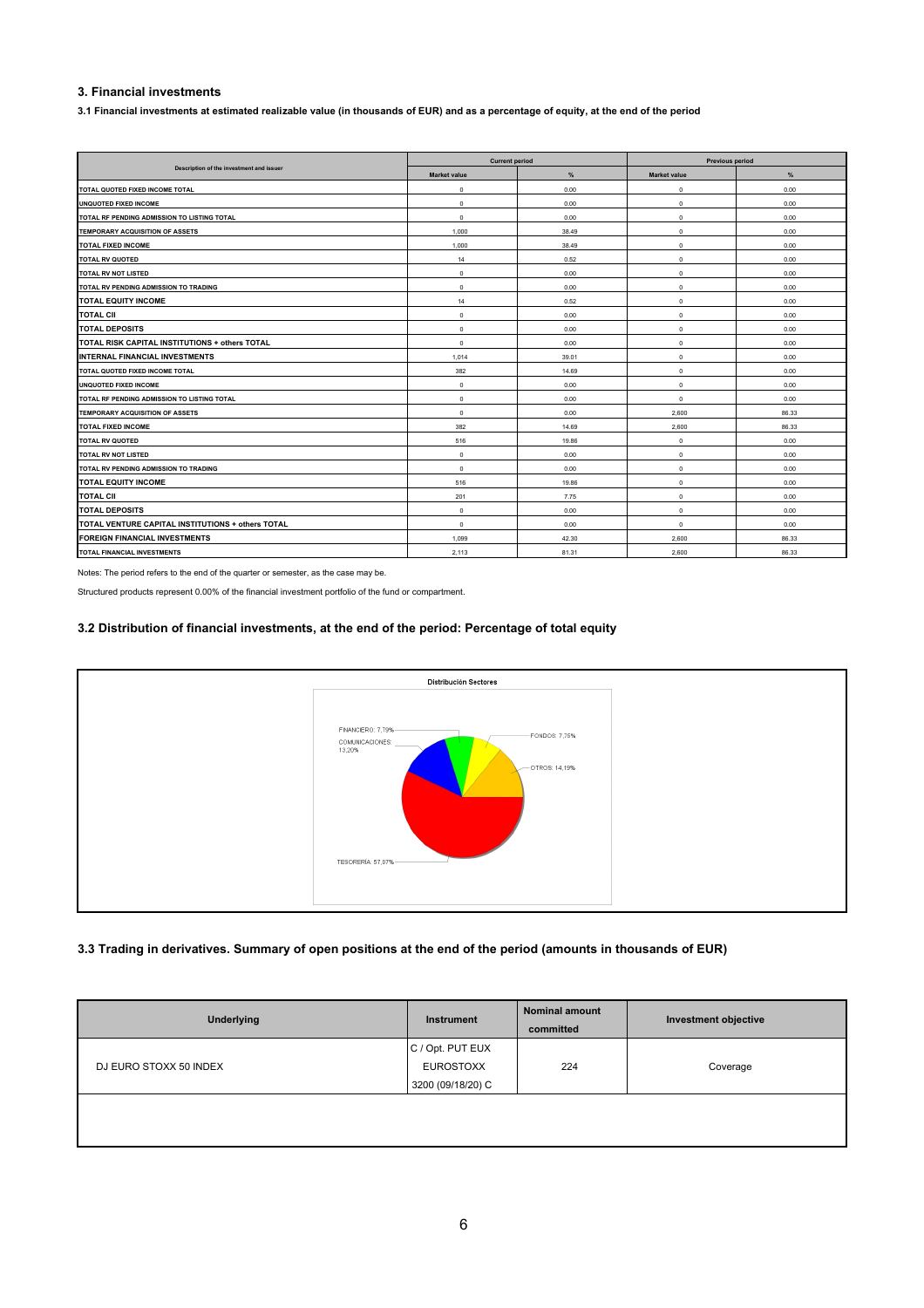# **3. Financial investments**

**3.1 Financial investments at estimated realizable value (in thousands of EUR) and as a percentage of equity, at the end of the period**

|                                                   | <b>Current period</b> |       | <b>Previous period</b> |       |  |
|---------------------------------------------------|-----------------------|-------|------------------------|-------|--|
| Description of the investment and issuer          | <b>Market value</b>   | %     | <b>Market value</b>    | %     |  |
| TOTAL QUOTED FIXED INCOME TOTAL                   | 0                     | 0.00  | $^{\circ}$             | 0.00  |  |
| UNQUOTED FIXED INCOME                             | 0                     | 0.00  | $^{\circ}$             | 0.00  |  |
| TOTAL RF PENDING ADMISSION TO LISTING TOTAL       | $^{\circ}$            | 0.00  | $^{\circ}$             | 0.00  |  |
| TEMPORARY ACQUISITION OF ASSETS                   | 1,000                 | 38.49 | $^{\circ}$             | 0.00  |  |
| <b>TOTAL FIXED INCOME</b>                         | 1,000                 | 38.49 | $^{\circ}$             | 0.00  |  |
| <b>TOTAL RV QUOTED</b>                            | 14                    | 0.52  | $\mathbf 0$            | 0.00  |  |
| <b>TOTAL RV NOT LISTED</b>                        | $^{\circ}$            | 0.00  | $^{\circ}$             | 0.00  |  |
| TOTAL RV PENDING ADMISSION TO TRADING             | $^{\circ}$            | 0.00  | $^{\circ}$             | 0.00  |  |
| <b>TOTAL EQUITY INCOME</b>                        | 14                    | 0.52  | $^{\circ}$             | 0.00  |  |
| <b>TOTAL CII</b>                                  | $^{\circ}$            | 0.00  | $^{\circ}$             | 0.00  |  |
| <b>TOTAL DEPOSITS</b>                             | $^{\circ}$            | 0.00  | $^{\circ}$             | 0.00  |  |
| TOTAL RISK CAPITAL INSTITUTIONS + others TOTAL    | $^{\circ}$            | 0.00  | $^{\circ}$             | 0.00  |  |
| INTERNAL FINANCIAL INVESTMENTS                    | 1,014                 | 39.01 | $^{\circ}$             | 0.00  |  |
| TOTAL QUOTED FIXED INCOME TOTAL                   | 382                   | 14.69 | $^{\circ}$             | 0.00  |  |
| UNQUOTED FIXED INCOME                             | $^{\circ}$            | 0.00  | $^{\circ}$             | 0.00  |  |
| TOTAL RF PENDING ADMISSION TO LISTING TOTAL       | $^{\circ}$            | 0.00  | $^{\circ}$             | 0.00  |  |
| TEMPORARY ACQUISITION OF ASSETS                   | $\mathbf 0$           | 0.00  | 2.600                  | 86.33 |  |
| <b>TOTAL FIXED INCOME</b>                         | 382                   | 14.69 | 2,600                  | 86.33 |  |
| <b>TOTAL RV QUOTED</b>                            | 516                   | 19.86 | $^{\circ}$             | 0.00  |  |
| <b>TOTAL RV NOT LISTED</b>                        | $^{\circ}$            | 0.00  | $^{\circ}$             | 0.00  |  |
| TOTAL RV PENDING ADMISSION TO TRADING             | $^{\circ}$            | 0.00  | $^{\circ}$             | 0.00  |  |
| <b>TOTAL EQUITY INCOME</b>                        | 516                   | 19.86 | $\mathbf 0$            | 0.00  |  |
| <b>TOTAL CII</b>                                  | 201                   | 7.75  | $^{\circ}$             | 0.00  |  |
| <b>TOTAL DEPOSITS</b>                             | $^{\circ}$            | 0.00  | $^{\circ}$             | 0.00  |  |
| TOTAL VENTURE CAPITAL INSTITUTIONS + others TOTAL | $^{\circ}$            | 0.00  | $^{\circ}$             | 0.00  |  |
| FOREIGN FINANCIAL INVESTMENTS                     | 1.099                 | 42.30 | 2,600                  | 86.33 |  |
| TOTAL FINANCIAL INVESTMENTS                       | 2.113                 | 81.31 | 2.600                  | 86.33 |  |

Notes: The period refers to the end of the quarter or semester, as the case may be.

Structured products represent 0.00% of the financial investment portfolio of the fund or compartment.

### **3.2 Distribution of financial investments, at the end of the period: Percentage of total equity**



### **3.3 Trading in derivatives. Summary of open positions at the end of the period (amounts in thousands of EUR)**

| Underlying             | Instrument        | <b>Nominal amount</b><br>committed | Investment objective |
|------------------------|-------------------|------------------------------------|----------------------|
|                        | C / Opt. PUT EUX  |                                    |                      |
| DJ EURO STOXX 50 INDEX | <b>EUROSTOXX</b>  | 224                                | Coverage             |
|                        | 3200 (09/18/20) C |                                    |                      |
|                        |                   |                                    |                      |
|                        |                   |                                    |                      |
|                        |                   |                                    |                      |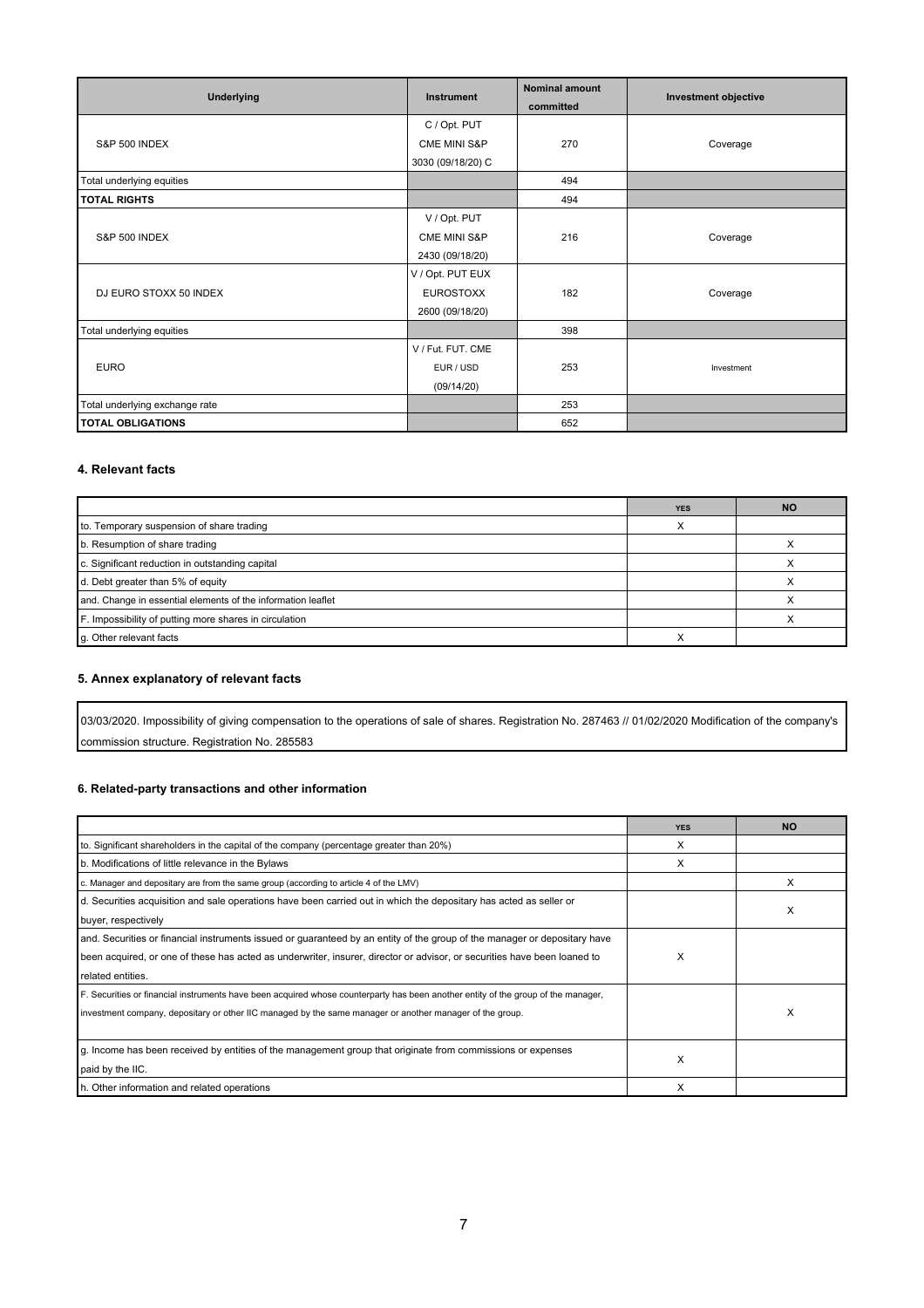| <b>Underlying</b>              | Instrument              | <b>Nominal amount</b><br>committed | Investment objective |
|--------------------------------|-------------------------|------------------------------------|----------------------|
|                                | C / Opt. PUT            |                                    |                      |
| <b>S&amp;P 500 INDEX</b>       | <b>CME MINI S&amp;P</b> | 270                                | Coverage             |
|                                | 3030 (09/18/20) C       |                                    |                      |
| Total underlying equities      |                         | 494                                |                      |
| <b>TOTAL RIGHTS</b>            |                         | 494                                |                      |
|                                | V / Opt. PUT            |                                    |                      |
| <b>S&amp;P 500 INDEX</b>       | <b>CME MINI S&amp;P</b> | 216                                | Coverage             |
|                                | 2430 (09/18/20)         |                                    |                      |
|                                | V / Opt. PUT EUX        |                                    |                      |
| DJ EURO STOXX 50 INDEX         | <b>EUROSTOXX</b>        | 182                                | Coverage             |
|                                | 2600 (09/18/20)         |                                    |                      |
| Total underlying equities      |                         | 398                                |                      |
|                                | V / Fut. FUT. CME       |                                    |                      |
| <b>EURO</b>                    | EUR / USD               | 253                                | Investment           |
|                                | (09/14/20)              |                                    |                      |
| Total underlying exchange rate |                         | 253                                |                      |
| <b>TOTAL OBLIGATIONS</b>       |                         | 652                                |                      |

## **4. Relevant facts**

|                                                              | <b>YES</b> | <b>NO</b> |
|--------------------------------------------------------------|------------|-----------|
| to. Temporary suspension of share trading                    |            |           |
| b. Resumption of share trading                               |            |           |
| c. Significant reduction in outstanding capital              |            |           |
| d. Debt greater than 5% of equity                            |            |           |
| and. Change in essential elements of the information leaflet |            |           |
| F. Impossibility of putting more shares in circulation       |            |           |
| g. Other relevant facts                                      |            |           |

# **5. Annex explanatory of relevant facts**

03/03/2020. Impossibility of giving compensation to the operations of sale of shares. Registration No. 287463 // 01/02/2020 Modification of the company's commission structure. Registration No. 285583

# **6. Related-party transactions and other information**

|                                                                                                                                   | <b>YES</b> | <b>NO</b> |
|-----------------------------------------------------------------------------------------------------------------------------------|------------|-----------|
| to. Significant shareholders in the capital of the company (percentage greater than 20%)                                          | X          |           |
| b. Modifications of little relevance in the Bylaws                                                                                | X          |           |
| c. Manager and depositary are from the same group (according to article 4 of the LMV)                                             |            | x         |
| d. Securities acquisition and sale operations have been carried out in which the depositary has acted as seller or                |            |           |
| buyer, respectively                                                                                                               |            | x         |
| and. Securities or financial instruments issued or guaranteed by an entity of the group of the manager or depositary have         |            |           |
| been acquired, or one of these has acted as underwriter, insurer, director or advisor, or securities have been loaned to          | X          |           |
| related entities.                                                                                                                 |            |           |
| F. Securities or financial instruments have been acquired whose counterparty has been another entity of the group of the manager, |            |           |
| investment company, depositary or other IIC managed by the same manager or another manager of the group.                          |            | X         |
|                                                                                                                                   |            |           |
| g. Income has been received by entities of the management group that originate from commissions or expenses                       | X          |           |
| paid by the IIC.                                                                                                                  |            |           |
| h. Other information and related operations                                                                                       | X          |           |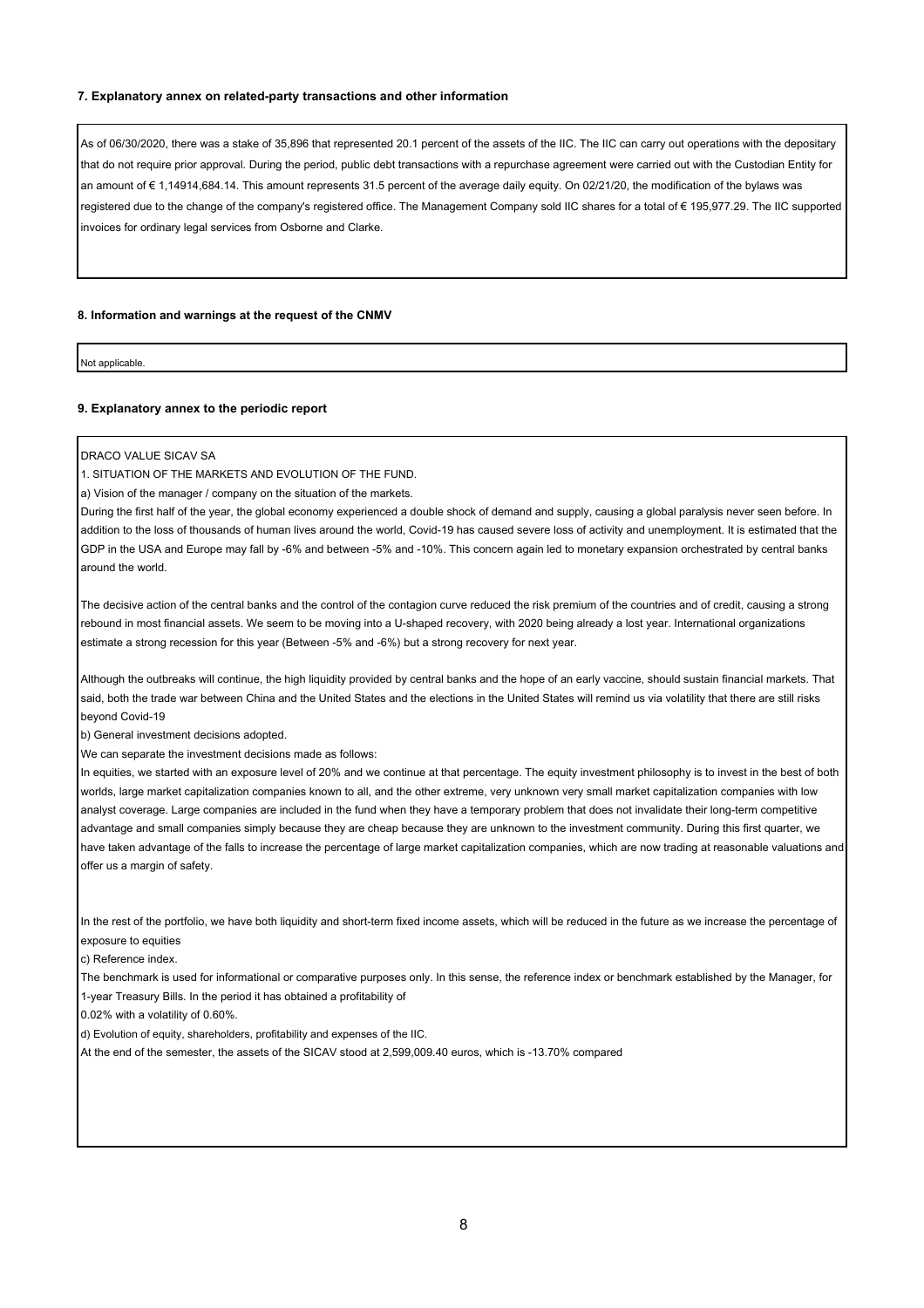### **7. Explanatory annex on related-party transactions and other information**

As of 06/30/2020, there was a stake of 35,896 that represented 20.1 percent of the assets of the IIC. The IIC can carry out operations with the depositary that do not require prior approval. During the period, public debt transactions with a repurchase agreement were carried out with the Custodian Entity for an amount of € 1,14914,684.14. This amount represents 31.5 percent of the average daily equity. On 02/21/20, the modification of the bylaws was registered due to the change of the company's registered office. The Management Company sold IIC shares for a total of € 195,977.29. The IIC supported invoices for ordinary legal services from Osborne and Clarke.

### **8. Information and warnings at the request of the CNMV**

Not applicable.

#### **9. Explanatory annex to the periodic report**

DRACO VALUE SICAV SA

1. SITUATION OF THE MARKETS AND EVOLUTION OF THE FUND.

a) Vision of the manager / company on the situation of the markets.

During the first half of the year, the global economy experienced a double shock of demand and supply, causing a global paralysis never seen before. In addition to the loss of thousands of human lives around the world, Covid-19 has caused severe loss of activity and unemployment. It is estimated that the GDP in the USA and Europe may fall by -6% and between -5% and -10%. This concern again led to monetary expansion orchestrated by central banks around the world.

The decisive action of the central banks and the control of the contagion curve reduced the risk premium of the countries and of credit, causing a strong rebound in most financial assets. We seem to be moving into a U-shaped recovery, with 2020 being already a lost year. International organizations estimate a strong recession for this year (Between -5% and -6%) but a strong recovery for next year.

Although the outbreaks will continue, the high liquidity provided by central banks and the hope of an early vaccine, should sustain financial markets. That said, both the trade war between China and the United States and the elections in the United States will remind us via volatility that there are still risks beyond Covid-19

b) General investment decisions adopted.

We can separate the investment decisions made as follows:

In equities, we started with an exposure level of 20% and we continue at that percentage. The equity investment philosophy is to invest in the best of both worlds, large market capitalization companies known to all, and the other extreme, very unknown very small market capitalization companies with low analyst coverage. Large companies are included in the fund when they have a temporary problem that does not invalidate their long-term competitive advantage and small companies simply because they are cheap because they are unknown to the investment community. During this first quarter, we have taken advantage of the falls to increase the percentage of large market capitalization companies, which are now trading at reasonable valuations and offer us a margin of safety.

In the rest of the portfolio, we have both liquidity and short-term fixed income assets, which will be reduced in the future as we increase the percentage of exposure to equities

c) Reference index.

The benchmark is used for informational or comparative purposes only. In this sense, the reference index or benchmark established by the Manager, for 1-year Treasury Bills. In the period it has obtained a profitability of

0.02% with a volatility of 0.60%.

d) Evolution of equity, shareholders, profitability and expenses of the IIC.

At the end of the semester, the assets of the SICAV stood at 2,599,009.40 euros, which is -13.70% compared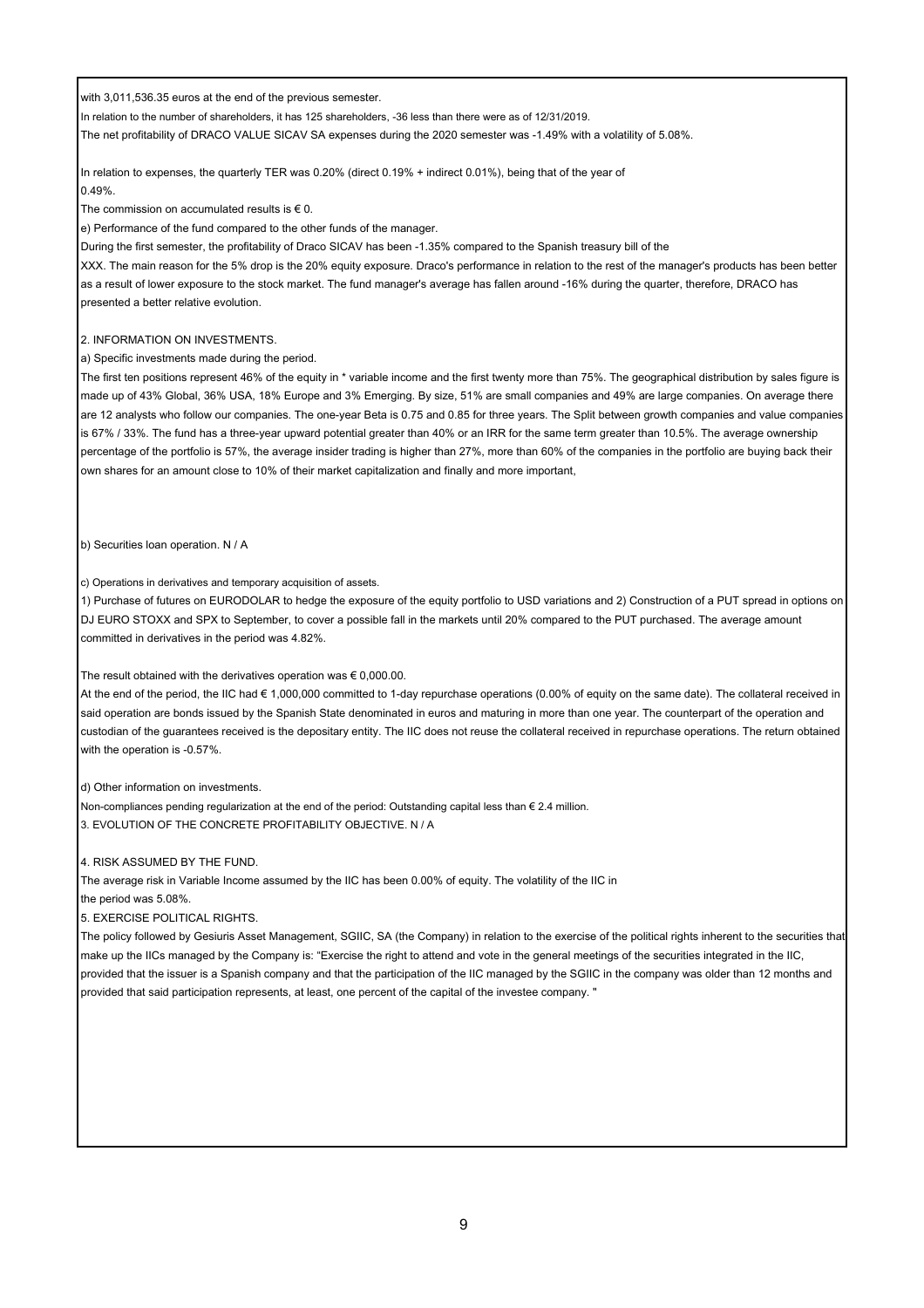with 3,011,536.35 euros at the end of the previous semester.

In relation to the number of shareholders, it has 125 shareholders, -36 less than there were as of 12/31/2019.

The net profitability of DRACO VALUE SICAV SA expenses during the 2020 semester was -1.49% with a volatility of 5.08%.

In relation to expenses, the quarterly TER was 0.20% (direct 0.19% + indirect 0.01%), being that of the year of 0.49%.

The commission on accumulated results is  $\epsilon$  0.

e) Performance of the fund compared to the other funds of the manager.

During the first semester, the profitability of Draco SICAV has been -1.35% compared to the Spanish treasury bill of the

XXX. The main reason for the 5% drop is the 20% equity exposure. Draco's performance in relation to the rest of the manager's products has been better as a result of lower exposure to the stock market. The fund manager's average has fallen around -16% during the quarter, therefore, DRACO has presented a better relative evolution.

### 2. INFORMATION ON INVESTMENTS.

a) Specific investments made during the period.

The first ten positions represent 46% of the equity in \* variable income and the first twenty more than 75%. The geographical distribution by sales figure is made up of 43% Global, 36% USA, 18% Europe and 3% Emerging. By size, 51% are small companies and 49% are large companies. On average there are 12 analysts who follow our companies. The one-year Beta is 0.75 and 0.85 for three years. The Split between growth companies and value companies is 67% / 33%. The fund has a three-year upward potential greater than 40% or an IRR for the same term greater than 10.5%. The average ownership percentage of the portfolio is 57%, the average insider trading is higher than 27%, more than 60% of the companies in the portfolio are buying back their own shares for an amount close to 10% of their market capitalization and finally and more important,

b) Securities loan operation. N / A

c) Operations in derivatives and temporary acquisition of assets.

1) Purchase of futures on EURODOLAR to hedge the exposure of the equity portfolio to USD variations and 2) Construction of a PUT spread in options on DJ EURO STOXX and SPX to September, to cover a possible fall in the markets until 20% compared to the PUT purchased. The average amount committed in derivatives in the period was 4.82%.

### The result obtained with the derivatives operation was  $\epsilon$  0,000.00.

At the end of the period, the IIC had € 1,000,000 committed to 1-day repurchase operations (0.00% of equity on the same date). The collateral received in said operation are bonds issued by the Spanish State denominated in euros and maturing in more than one year. The counterpart of the operation and custodian of the guarantees received is the depositary entity. The IIC does not reuse the collateral received in repurchase operations. The return obtained with the operation is -0.57%.

d) Other information on investments.

Non-compliances pending regularization at the end of the period: Outstanding capital less than € 2.4 million.

3. EVOLUTION OF THE CONCRETE PROFITABILITY OBJECTIVE. N / A

### 4. RISK ASSUMED BY THE FUND.

The average risk in Variable Income assumed by the IIC has been 0.00% of equity. The volatility of the IIC in the period was 5.08%.

5. EXERCISE POLITICAL RIGHTS.

The policy followed by Gesiuris Asset Management, SGIIC, SA (the Company) in relation to the exercise of the political rights inherent to the securities that make up the IICs managed by the Company is: "Exercise the right to attend and vote in the general meetings of the securities integrated in the IIC, provided that the issuer is a Spanish company and that the participation of the IIC managed by the SGIIC in the company was older than 12 months and provided that said participation represents, at least, one percent of the capital of the investee company. "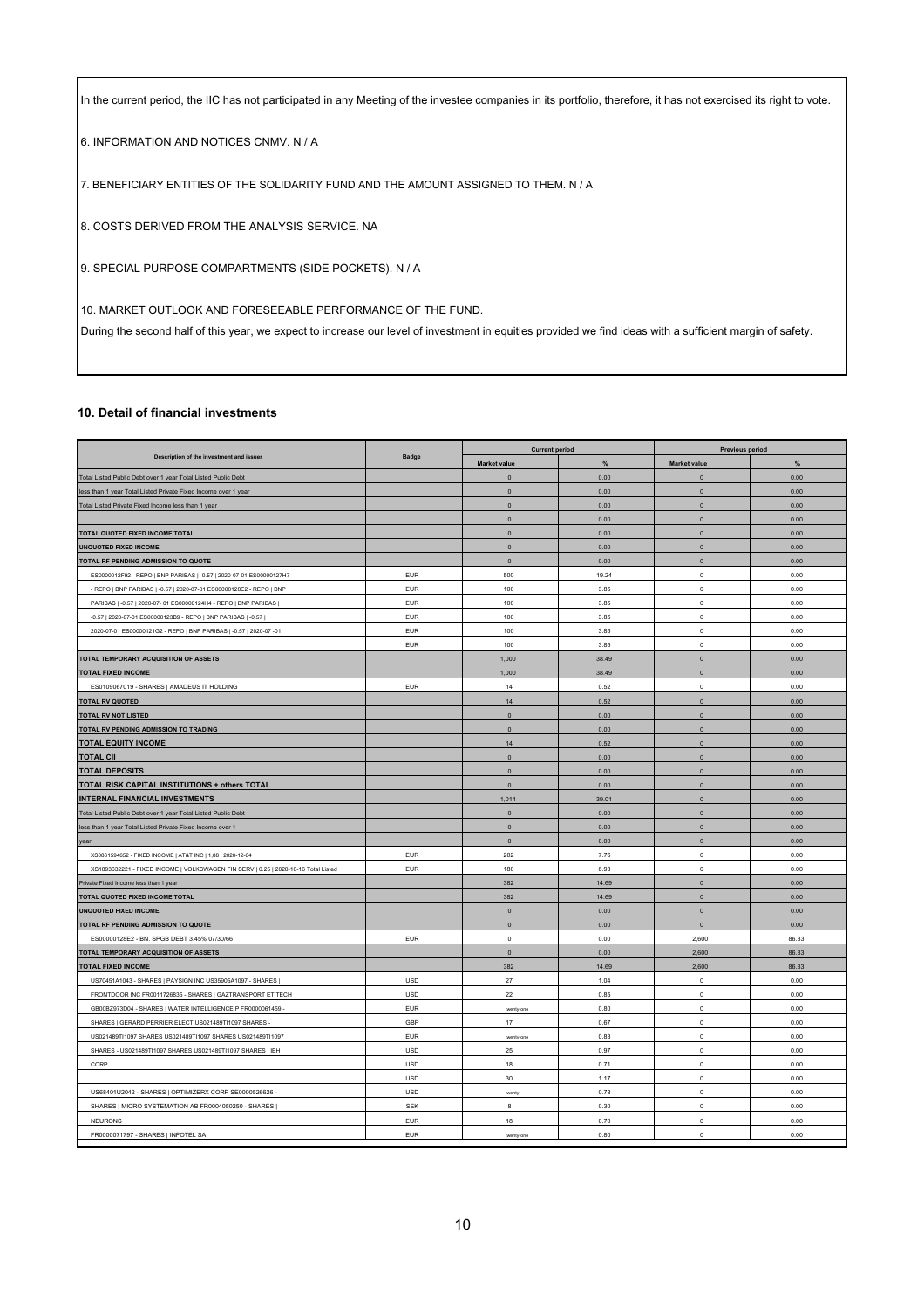In the current period, the IIC has not participated in any Meeting of the investee companies in its portfolio, therefore, it has not exercised its right to vote.

6. INFORMATION AND NOTICES CNMV. N / A

7. BENEFICIARY ENTITIES OF THE SOLIDARITY FUND AND THE AMOUNT ASSIGNED TO THEM. N / A

8. COSTS DERIVED FROM THE ANALYSIS SERVICE. NA

9. SPECIAL PURPOSE COMPARTMENTS (SIDE POCKETS). N / A

10. MARKET OUTLOOK AND FORESEEABLE PERFORMANCE OF THE FUND.

During the second half of this year, we expect to increase our level of investment in equities provided we find ideas with a sufficient margin of safety.

### **10. Detail of financial investments**

| Description of the investment and issuer                                           | <b>Badge</b> | <b>Current period</b> |               | <b>Previous period</b> |                |
|------------------------------------------------------------------------------------|--------------|-----------------------|---------------|------------------------|----------------|
|                                                                                    |              | Market value          | %             | Market value           | %              |
| Total Listed Public Debt over 1 year Total Listed Public Debt                      |              | $\pmb{0}$             | 0.00          | $\mathbf 0$            | 0.00           |
| less than 1 year Total Listed Private Fixed Income over 1 year                     |              | $\pmb{0}$             | 0.00          | $\mathbf 0$            | 0.00           |
| Total Listed Private Fixed Income less than 1 year                                 |              | $\pmb{0}$             | 0.00          | $\mathbf 0$            | 0.00           |
|                                                                                    |              | $\pmb{0}$             | 0.00          | $\mathbf 0$            | 0.00           |
| TOTAL QUOTED FIXED INCOME TOTAL                                                    |              | $\pmb{0}$             | 0.00          | $\mathbf 0$            | 0.00           |
| <b>UNQUOTED FIXED INCOME</b>                                                       |              | $\pmb{0}$             | 0.00          | $\mathbf 0$            | 0.00           |
| TOTAL RF PENDING ADMISSION TO QUOTE                                                |              | $\pmb{0}$             | 0.00          | $\mathbf 0$            | 0.00           |
| ES0000012F92 - REPO   BNP PARIBAS   -0.57   2020-07-01 ES00000127H7                | <b>EUR</b>   | 500                   | 19.24         | $\mathbb O$            | 0.00           |
| - REPO   BNP PARIBAS   -0.57   2020-07-01 ES00000128E2 - REPO   BNP                | <b>EUR</b>   | 100                   | 3.85          | $\mathbf 0$            | 0.00           |
| PARIBAS   -0.57   2020-07- 01 ES00000124H4 - REPO   BNP PARIBAS                    | <b>EUR</b>   | 100                   | 3.85          | $\mathbf 0$            | 0.00           |
| -0.57   2020-07-01 ES00000123B9 - REPO   BNP PARIBAS   -0.57                       | <b>EUR</b>   | 100                   | 3.85          | $\mathsf 0$            | 0.00           |
| 2020-07-01 ES00000121G2 - REPO   BNP PARIBAS   -0.57   2020-07 -01                 | <b>EUR</b>   | 100                   | 3.85          | $\mathsf 0$            | 0.00           |
|                                                                                    | <b>EUR</b>   | 100                   | 3.85          | $\circ$                | 0.00           |
| TOTAL TEMPORARY ACQUISITION OF ASSETS                                              |              | 1,000                 | 38.49         | $\mathbf 0$            | 0.00           |
| <b>TOTAL FIXED INCOME</b>                                                          |              | 1,000                 | 38.49         | $\mathbf 0$            | 0.00           |
| ES0109067019 - SHARES   AMADEUS IT HOLDING                                         | EUR          | 14                    | 0.52          | $\mathsf 0$            | 0.00           |
| <b>TOTAL RV QUOTED</b>                                                             |              | $14$                  | 0.52          | $\mathbf 0$            | 0.00           |
| <b>TOTAL RV NOT LISTED</b>                                                         |              | $\Omega$              | 0.00          | $\mathbf{0}$           | 0.00           |
| TOTAL RV PENDING ADMISSION TO TRADING                                              |              | $\mathbf{0}$          | 0.00          | $\mathbf{0}$           | 0.00           |
| <b>TOTAL EQUITY INCOME</b>                                                         |              | 14                    | 0.52          | $\mathbf{0}$           | 0.00           |
| <b>TOTAL CII</b>                                                                   |              | $\mathbf{0}$          | 0.00          | $\mathbf{0}$           | 0.00           |
| <b>TOTAL DEPOSITS</b>                                                              |              | $\mathbf{0}$          | 0.00          | $\mathbf{0}$           | 0.00           |
| TOTAL RISK CAPITAL INSTITUTIONS + others TOTAL                                     |              | $\mathbf{0}$          | 0.00          | $\mathbf{0}$           | 0.00           |
| <b>INTERNAL FINANCIAL INVESTMENTS</b>                                              |              | 1,014                 | 39.01         | $\mathbf 0$            | 0.00           |
| Total Listed Public Debt over 1 year Total Listed Public Debt                      |              | $\mathbf 0$           | 0.00          | $\mathbf 0$            | 0.00           |
| less than 1 year Total Listed Private Fixed Income over 1                          |              | $\pmb{0}$             | 0.00          | $\mathbf 0$            | 0.00           |
| year                                                                               |              | $\mathbf 0$           | 0.00          | $\mathbf 0$            | 0.00           |
| XS0861594652 - FIXED INCOME   AT&T INC   1,88   2020-12-04                         | <b>EUR</b>   | 202                   | 7.76          | $\mathbf 0$            | 0.00           |
| XS1893632221 - FIXED INCOME   VOLKSWAGEN FIN SERV   0.25   2020-10-16 Total Listed | <b>EUR</b>   | 180                   | 6.93          | $\mathsf 0$            | 0.00           |
| Private Fixed Income less than 1 year                                              |              | 382                   | 14.69         | $\mathbf 0$            | 0.00           |
| TOTAL QUOTED FIXED INCOME TOTAL                                                    |              | 382                   | 14.69         | $\mathbf 0$            | 0.00           |
| <b>UNQUOTED FIXED INCOME</b>                                                       |              | $\mathbf 0$           | 0.00          | $\mathbf 0$            | 0.00           |
| TOTAL RF PENDING ADMISSION TO QUOTE                                                |              | $\mathbf 0$           | 0.00          | $\mathbf 0$            | 0.00           |
| ES00000128E2 - BN. SPGB DEBT 3.45% 07/30/66                                        | <b>EUR</b>   | $\mathbf 0$           | 0.00          | 2,600                  | 86.33          |
|                                                                                    |              |                       |               |                        |                |
| TOTAL TEMPORARY ACQUISITION OF ASSETS<br><b>TOTAL FIXED INCOME</b>                 |              | $\mathbf 0$<br>382    | 0.00<br>14.69 | 2,600<br>2,600         | 86.33<br>86.33 |
|                                                                                    |              |                       |               |                        |                |
| US70451A1043 - SHARES   PAYSIGN INC US35905A1097 - SHARES                          | <b>USD</b>   | 27                    | 1.04          | $\mathsf 0$            | 0.00           |
| FRONTDOOR INC FR0011726835 - SHARES   GAZTRANSPORT ET TECH                         | <b>USD</b>   | 22                    | 0.85          | $\mathsf 0$            | 0.00           |
| GB00BZ973D04 - SHARES   WATER INTELLIGENCE P FR0000061459 -                        | <b>EUR</b>   | twenty-one            | 0.80          | $\mathbf 0$            | 0.00           |
| SHARES   GERARD PERRIER ELECT US021489TI1097 SHARES -                              | GBP          | $17\,$                | 0.67          | $\mathsf{o}\,$         | 0.00           |
| US021489TI1097 SHARES US021489TI1097 SHARES US021489TI1097                         | <b>EUR</b>   | twenty-one            | 0.83          | $\mathbf 0$            | 0.00           |
| SHARES - US021489TI1097 SHARES US021489TI1097 SHARES   IEH                         | <b>USD</b>   | 25                    | 0.97          | $\mathsf 0$            | 0.00           |
| CORP                                                                               | <b>USD</b>   | 18                    | 0.71          | $\mathbf 0$            | 0.00           |
|                                                                                    | <b>USD</b>   | 30                    | 1.17          | $\mathsf 0$            | 0.00           |
| US68401U2042 - SHARES   OPTIMIZERX CORP SE0000526626 -                             | <b>USD</b>   | twenty                | 0.78          | $\mathbf 0$            | 0.00           |
| SHARES   MICRO SYSTEMATION AB FR0004050250 - SHARES                                | <b>SEK</b>   | 8                     | 0.30          | $\mathsf 0$            | 0.00           |
| <b>NEURONS</b>                                                                     | <b>EUR</b>   | 18                    | 0.70          | $\mathbf 0$            | 0.00           |
| FR0000071797 - SHARES   INFOTEL SA                                                 | <b>EUR</b>   | twenty-one            | 0.80          | $\mathbf 0$            | 0.00           |